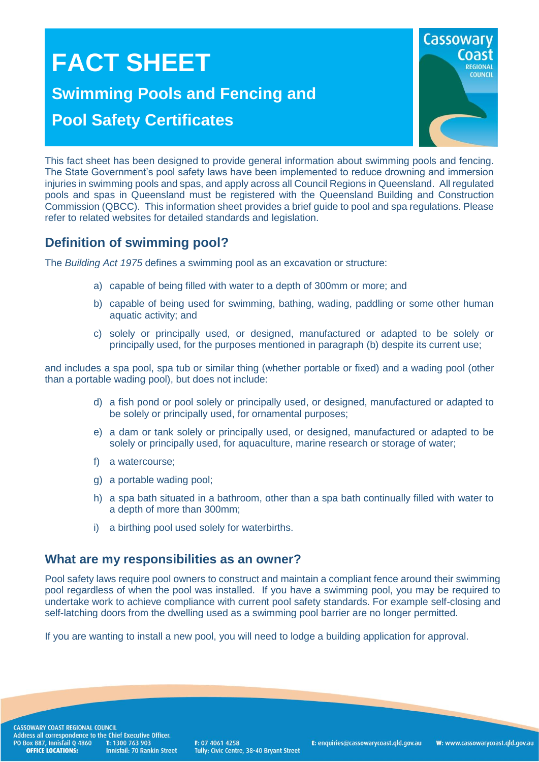# **FACT SHEET Swimming Pools and Fencing and Pool Safety Certificates**



This fact sheet has been designed to provide general information about swimming pools and fencing. The State Government's pool safety laws have been implemented to reduce drowning and immersion injuries in swimming pools and spas, and apply across all Council Regions in Queensland. All regulated pools and spas in Queensland must be registered with the Queensland Building and Construction Commission (QBCC). This information sheet provides a brief guide to pool and spa regulations. Please refer to related websites for detailed standards and legislation.

## **Definition of swimming pool?**

The *Building Act 1975* defines a swimming pool as an excavation or structure:

- a) capable of being filled with water to a depth of 300mm or more; and
- b) capable of being used for swimming, bathing, wading, paddling or some other human aquatic activity; and
- c) solely or principally used, or designed, manufactured or adapted to be solely or principally used, for the purposes mentioned in paragraph (b) despite its current use;

and includes a spa pool, spa tub or similar thing (whether portable or fixed) and a wading pool (other than a portable wading pool), but does not include:

- d) a fish pond or pool solely or principally used, or designed, manufactured or adapted to be solely or principally used, for ornamental purposes;
- e) a dam or tank solely or principally used, or designed, manufactured or adapted to be solely or principally used, for aquaculture, marine research or storage of water;
- f) a watercourse;
- g) a portable wading pool;
- h) a spa bath situated in a bathroom, other than a spa bath continually filled with water to a depth of more than 300mm;
- i) a birthing pool used solely for waterbirths.

#### **What are my responsibilities as an owner?**

Pool safety laws require pool owners to construct and maintain a compliant fence around their swimming pool regardless of when the pool was installed. If you have a swimming pool, you may be required to undertake work to achieve compliance with current pool safety standards. For example self-closing and self-latching doors from the dwelling used as a swimming pool barrier are no longer permitted.

If you are wanting to install a new pool, you will need to lodge a building application for approval.

CASSOWARY COAST REGIONAL COUNCIL CASSOWART COAST REGIONAL COUNCIL<br>Address all correspondence to the Chief Executive Officer.<br>PO Box 887, Innisfail Q 4860 T: 1300 763 903<br>**OFFICE LOCATIONS:** Innisfail: 70 Rankin Stre **Innisfail: 70 Rankin Street** 

F: 07 4061 4258 Tully: Civic Centre, 38-40 Bryant Street

E: enquiries@cassowarycoast.qld.gov.au

W: www.cassowarycoast.qld.gov.au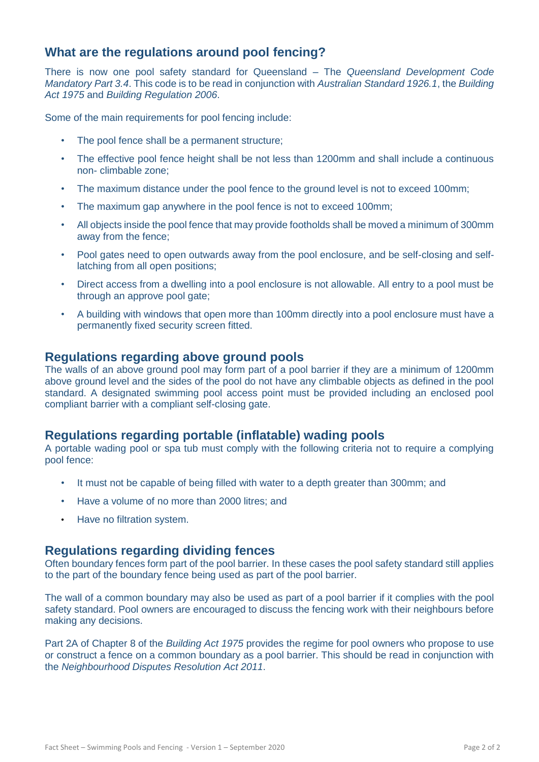### **What are the regulations around pool fencing?**

There is now one pool safety standard for Queensland – The *Queensland Development Code Mandatory Part 3.4*. This code is to be read in conjunction with *Australian Standard 1926.1*, the *Building Act 1975* and *Building Regulation 2006*.

Some of the main requirements for pool fencing include:

- The pool fence shall be a permanent structure;
- The effective pool fence height shall be not less than 1200mm and shall include a continuous non- climbable zone;
- The maximum distance under the pool fence to the ground level is not to exceed 100mm;
- The maximum gap anywhere in the pool fence is not to exceed 100mm;
- All objects inside the pool fence that may provide footholds shall be moved a minimum of 300mm away from the fence;
- Pool gates need to open outwards away from the pool enclosure, and be self-closing and selflatching from all open positions;
- Direct access from a dwelling into a pool enclosure is not allowable. All entry to a pool must be through an approve pool gate;
- A building with windows that open more than 100mm directly into a pool enclosure must have a permanently fixed security screen fitted.

#### **Regulations regarding above ground pools**

The walls of an above ground pool may form part of a pool barrier if they are a minimum of 1200mm above ground level and the sides of the pool do not have any climbable objects as defined in the pool standard. A designated swimming pool access point must be provided including an enclosed pool compliant barrier with a compliant self-closing gate.

#### **Regulations regarding portable (inflatable) wading pools**

A portable wading pool or spa tub must comply with the following criteria not to require a complying pool fence:

- It must not be capable of being filled with water to a depth greater than 300mm; and
- Have a volume of no more than 2000 litres; and
- Have no filtration system.

#### **Regulations regarding dividing fences**

Often boundary fences form part of the pool barrier. In these cases the pool safety standard still applies to the part of the boundary fence being used as part of the pool barrier.

The wall of a common boundary may also be used as part of a pool barrier if it complies with the pool safety standard. Pool owners are encouraged to discuss the fencing work with their neighbours before making any decisions.

Part 2A of Chapter 8 of the *Building Act 1975* provides the regime for pool owners who propose to use or construct a fence on a common boundary as a pool barrier. This should be read in conjunction with the *Neighbourhood Disputes Resolution Act 2011*.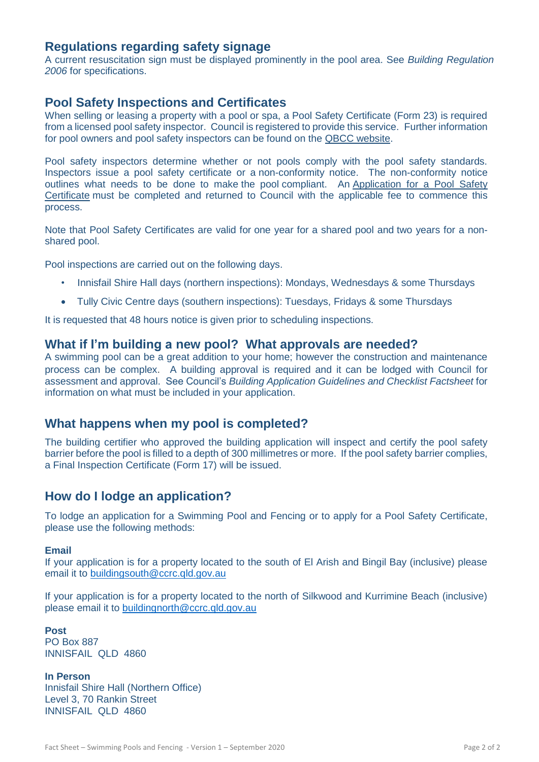#### **Regulations regarding safety signage**

A current resuscitation sign must be displayed prominently in the pool area. See *Building Regulation 2006* for specifications.

#### **Pool Safety Inspections and Certificates**

When selling or leasing a property with a pool or spa, a Pool Safety Certificate (Form 23) is required from a licensed pool safety inspector. Council is registered to provide this service. Further information for pool owners and pool safety inspectors can be found on the [QBCC website.](http://www.qbcc.qld.gov.au/home-building-owners/pool-safety/overview)

Pool safety inspectors determine whether or not pools comply with the pool safety standards. Inspectors issue a pool safety certificate or a non-conformity notice. The non-conformity notice outlines what needs to be done to make the pool compliant. An [Application for a Pool Safety](http://www.cassowarycoast.qld.gov.au/documents/1422210/3759637/Application%20for%20a%20Pool%20Safety%20Certificate.pdf)  [Certificate](http://www.cassowarycoast.qld.gov.au/documents/1422210/3759637/Application%20for%20a%20Pool%20Safety%20Certificate.pdf) must be completed and returned to Council with the applicable fee to commence this process.

Note that Pool Safety Certificates are valid for one year for a shared pool and two years for a nonshared pool.

Pool inspections are carried out on the following days.

- Innisfail Shire Hall days (northern inspections): Mondays, Wednesdays & some Thursdays
- Tully Civic Centre days (southern inspections): Tuesdays, Fridays & some Thursdays

It is requested that 48 hours notice is given prior to scheduling inspections.

#### **What if I'm building a new pool? What approvals are needed?**

A swimming pool can be a great addition to your home; however the construction and maintenance process can be complex. A building approval is required and it can be lodged with Council for assessment and approval. See Council's *Building Application Guidelines and Checklist Factsheet* for information on what must be included in your application.

#### **What happens when my pool is completed?**

The building certifier who approved the building application will inspect and certify the pool safety barrier before the pool is filled to a depth of 300 millimetres or more. If the pool safety barrier complies, a Final Inspection Certificate (Form 17) will be issued.

#### **How do I lodge an application?**

To lodge an application for a Swimming Pool and Fencing or to apply for a Pool Safety Certificate, please use the following methods:

#### **Email**

If your application is for a property located to the south of El Arish and Bingil Bay (inclusive) please email it to [buildingsouth@ccrc.qld.gov.au](mailto:buildingsouth@ccrc.qld.gov.au)

If your application is for a property located to the north of Silkwood and Kurrimine Beach (inclusive) please email it to [buildingnorth@ccrc.qld.gov.au](mailto:buildingnorth@ccrc.qld.gov.au)

**Post** PO Box 887 INNISFAIL QLD 4860

**In Person** Innisfail Shire Hall (Northern Office) Level 3, 70 Rankin Street INNISFAIL QLD 4860